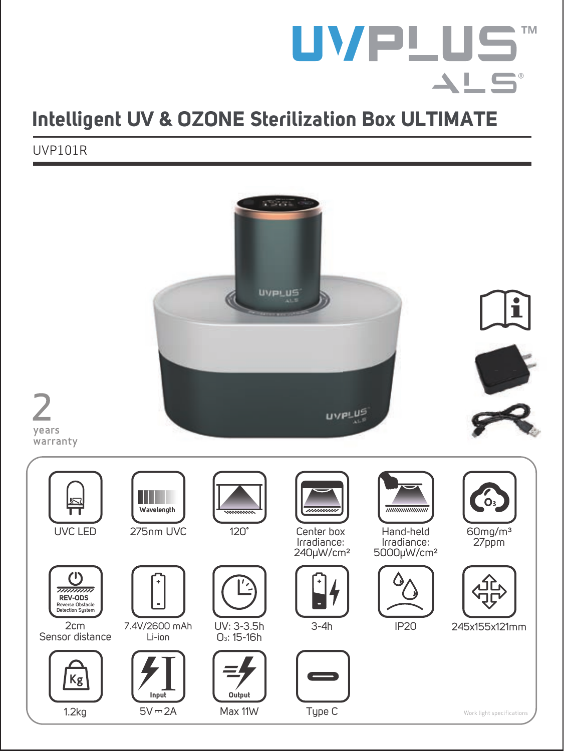# **UVPLUS**  $\blacktriangle\sqcup$ S'

# **Intelligent UV & OZONE Sterilization Box ULTIMATE**

UVP101R

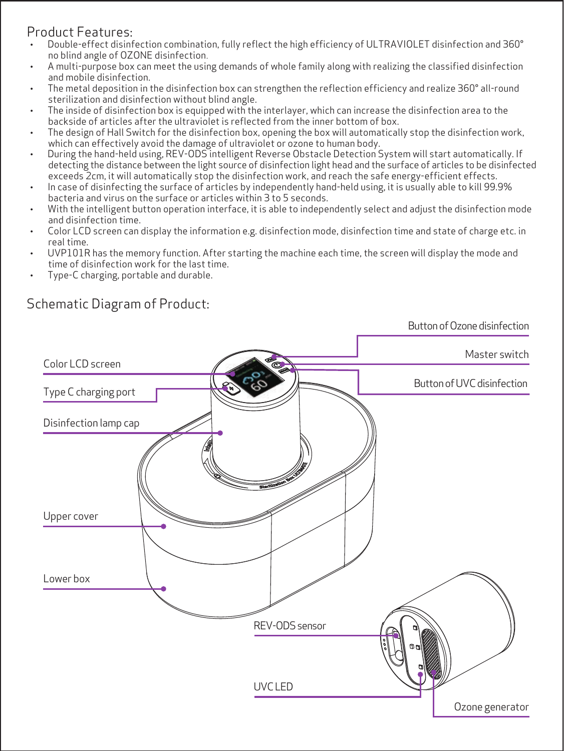### Product Features:

- · Double-effect disinfection combination, fully reflect the high efficiency of ULTRAVIOLET disinfection and 360° no blind angle of OZONE disinfection.
- · A multi-purpose box can meet the using demands of whole family along with realizing the classified disinfection and mobile disinfection.
- · The metal deposition in the disinfection box can strengthen the reflection efficiency and realize 360° all-round sterilization and disinfection without blind angle.
- · The inside of disinfection box is equipped with the interlayer, which can increase the disinfection area to the backside of articles after the ultraviolet is reflected from the inner bottom of box.
- · The design of Hall Switch for the disinfection box, opening the box will automatically stop the disinfection work, which can effectively avoid the damage of ultraviolet or ozone to human body.
- · During the hand-held using, REV-ODS intelligent Reverse Obstacle Detection System will start automatically. If detecting the distance between the light source of disinfection light head and the surface of articles to be disinfected exceeds 2cm, it will automatically stop the disinfection work, and reach the safe energy-efficient effects.
- · In case of disinfecting the surface of articles by independently hand-held using, it is usually able to kill 99.9% bacteria and virus on the surface or articles within 3 to 5 seconds.
- · With the intelligent button operation interface, it is able to independently select and adjust the disinfection mode and disinfection time.
- · Color LCD screen can display the information e.g. disinfection mode, disinfection time and state of charge etc. in real time.
- · UVP101R has the memory function. After starting the machine each time, the screen will display the mode and time of disinfection work for the last time.
- · Type-C charging, portable and durable.

## Schematic Diagram of Product:

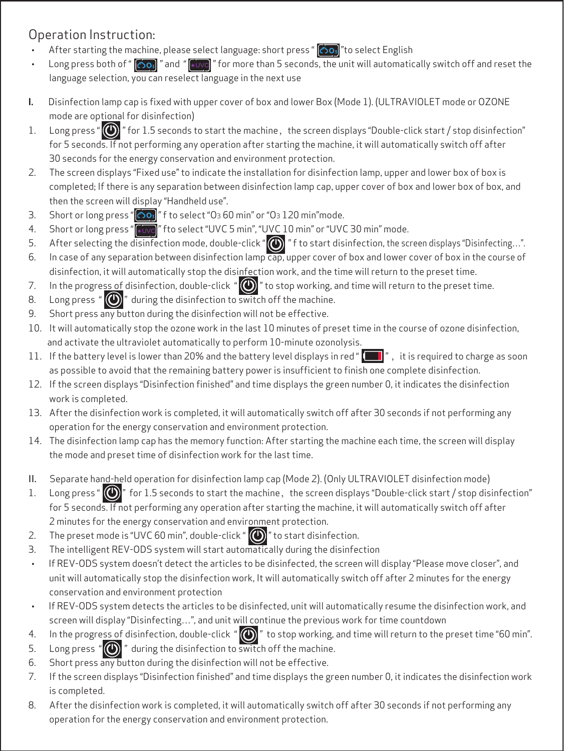### Operation Instruction:

- After starting the machine, please select language: short press "  $\circ$  or "to select English
- Long press both of " [303] " and " [4006] " for more than 5 seconds, the unit will automatically switch off and reset the language selection, you can reselect language in the next use
- **I.** Disinfection lamp cap is fixed with upper cover of box and lower Box (Mode 1). (ULTRAVIOLET mode or OZONE mode are optional for disinfection)
- 1. Long press "  $\circled{2}$  " for 1.5 seconds to start the machine, the screen displays "Double-click start / stop disinfection" for 5 seconds. If not performing any operation after starting the machine, it will automatically switch off after 30 seconds for the energy conservation and environment protection.
- 2. The screen displays "Fixed use" to indicate the installation for disinfection lamp, upper and lower box of box is completed; If there is any separation between disinfection lamp cap, upper cover of box and lower box of box, and then the screen will display "Handheld use".
- 3. Short or long press "  $\bigcirc$  o<sub>3</sub> " f to select "O<sub>3</sub> 60 min" or "O<sub>3</sub> 120 min" mode.
- 4. Short or long press "**Mixe**" fto select "UVC 5 min", "UVC 10 min" or "UVC 30 min" mode.
- 5. After selecting the disinfection mode, double-click " n f to start disinfection, the screen displays "Disinfecting...".
- 6. In case of any separation between disinfection lamp cap, upper cover of box and lower cover of box in the course of disinfection, it will automatically stop the disinfection work, and the time will return to the preset time.
- 7. In the progress of disinfection, double-click " $\circled{O}$ " to stop working, and time will return to the preset time.
- 8. Long press " $\left(\bigcirc\right)$ " during the disinfection to switch off the machine.
- 9. Short press any button during the disinfection will not be effective.
- 10. It will automatically stop the ozone work in the last 10 minutes of preset time in the course of ozone disinfection, and activate the ultraviolet automatically to perform 10-minute ozonolysis.
- 11. If the battery level is lower than 20% and the battery level displays in red "  $\blacksquare$ ", it is required to charge as soon as possible to avoid that the remaining battery power is insufficient to finish one complete disinfection.
- 12. If the screen displays "Disinfection finished" and time displays the green number 0, it indicates the disinfection work is completed.
- 13. After the disinfection work is completed, it will automatically switch off after 30 seconds if not performing any operation for the energy conservation and environment protection.
- 14. The disinfection lamp cap has the memory function: After starting the machine each time, the screen will display the mode and preset time of disinfection work for the last time.
- II. Separate hand-held operation for disinfection lamp cap (Mode 2). (Only ULTRAVIOLET disinfection mode)
- 1. Long press " $\bigcirc$ " for 1.5 seconds to start the machine, the screen displays "Double-click start / stop disinfection" for 5 seconds. If not performing any operation after starting the machine, it will automatically switch off after 2 minutes for the energy conservation and environment protection.
- 2. The preset mode is "UVC 60 min", double-click " $\bigcirc$ " to start disinfection.
- 3. The intelligent REV-ODS system will start automatically during the disinfection
- · If REV-ODS system doesn't detect the articles to be disinfected, the screen will display "Please move closer", and unit will automatically stop the disinfection work, It will automatically switch off after 2 minutes for the energy conservation and environment protection
- If REV-ODS system detects the articles to be disinfected, unit will automatically resume the disinfection work, and screen will display "Disinfecting…", and unit will continue the previous work for time countdown
- 4. In the progress of disinfection, double-click " $\bigcirc$ " to stop working, and time will return to the preset time "60 min".
- 5. Long press " $\circled{O}$ " during the disinfection to switch off the machine.
- 6. Short press any button during the disinfection will not be effective.
- 7. If the screen displays "Disinfection finished" and time displays the green number 0, it indicates the disinfection work is completed.
- 8. After the disinfection work is completed, it will automatically switch off after 30 seconds if not performing any operation for the energy conservation and environment protection.